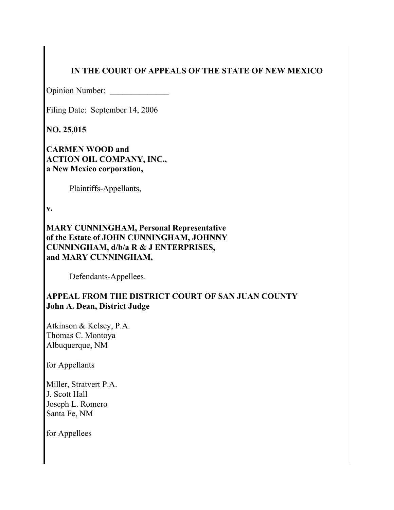# **IN THE COURT OF APPEALS OF THE STATE OF NEW MEXICO**

Opinion Number: \_\_\_\_\_\_\_\_\_\_\_\_\_\_

Filing Date: September 14, 2006

**NO. 25,015**

**CARMEN WOOD and ACTION OIL COMPANY, INC., a New Mexico corporation,**

Plaintiffs-Appellants,

**v.**

**MARY CUNNINGHAM, Personal Representative of the Estate of JOHN CUNNINGHAM, JOHNNY CUNNINGHAM, d/b/a R & J ENTERPRISES, and MARY CUNNINGHAM,**

Defendants-Appellees.

## **APPEAL FROM THE DISTRICT COURT OF SAN JUAN COUNTY John A. Dean, District Judge**

Atkinson & Kelsey, P.A. Thomas C. Montoya Albuquerque, NM

for Appellants

Miller, Stratvert P.A. J. Scott Hall Joseph L. Romero Santa Fe, NM

for Appellees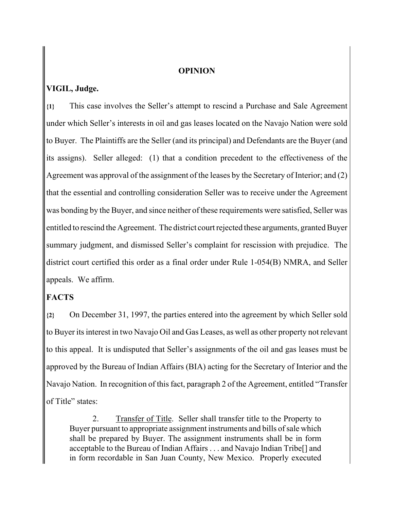#### **OPINION**

### **VIGIL, Judge.**

**{1}** This case involves the Seller's attempt to rescind a Purchase and Sale Agreement under which Seller's interests in oil and gas leases located on the Navajo Nation were sold to Buyer. The Plaintiffs are the Seller (and its principal) and Defendants are the Buyer (and its assigns). Seller alleged: (1) that a condition precedent to the effectiveness of the Agreement was approval of the assignment of the leases by the Secretary of Interior; and (2) that the essential and controlling consideration Seller was to receive under the Agreement was bonding by the Buyer, and since neither of these requirements were satisfied, Seller was entitled to rescind the Agreement. The district court rejected these arguments, granted Buyer summary judgment, and dismissed Seller's complaint for rescission with prejudice. The district court certified this order as a final order under Rule 1-054(B) NMRA, and Seller appeals. We affirm.

### **FACTS**

**{2}** On December 31, 1997, the parties entered into the agreement by which Seller sold to Buyer its interest in two Navajo Oil and Gas Leases, as well as other property not relevant to this appeal. It is undisputed that Seller's assignments of the oil and gas leases must be approved by the Bureau of Indian Affairs (BIA) acting for the Secretary of Interior and the Navajo Nation. In recognition of this fact, paragraph 2 of the Agreement, entitled "Transfer of Title" states:

2. Transfer of Title. Seller shall transfer title to the Property to Buyer pursuant to appropriate assignment instruments and bills of sale which shall be prepared by Buyer. The assignment instruments shall be in form acceptable to the Bureau of Indian Affairs . . . and Navajo Indian Tribe[] and in form recordable in San Juan County, New Mexico. Properly executed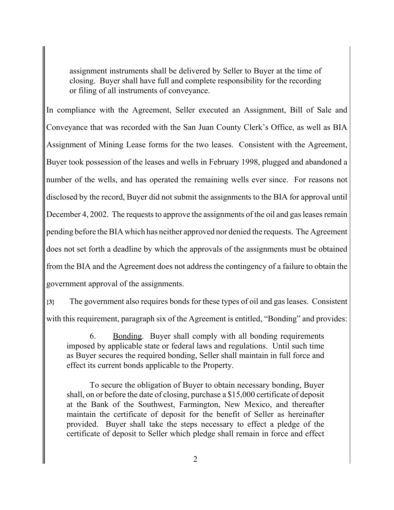assignment instruments shall be delivered by Seller to Buyer at the time of closing. Buyer shall have full and complete responsibility for the recording or filing of all instruments of conveyance.

In compliance with the Agreement, Seller executed an Assignment, Bill of Sale and Conveyance that was recorded with the San Juan County Clerk's Office, as well as BIA Assignment of Mining Lease forms for the two leases. Consistent with the Agreement, Buyer took possession of the leases and wells in February 1998, plugged and abandoned a number of the wells, and has operated the remaining wells ever since. For reasons not disclosed by the record, Buyer did not submit the assignments to the BIA for approval until December 4, 2002. The requests to approve the assignments of the oil and gas leases remain pending before the BIA which has neither approved nor denied the requests. The Agreement does not set forth a deadline by which the approvals of the assignments must be obtained from the BIA and the Agreement does not address the contingency of a failure to obtain the government approval of the assignments.

**{3}** The government also requires bonds for these types of oil and gas leases. Consistent with this requirement, paragraph six of the Agreement is entitled, "Bonding" and provides:

6. Bonding. Buyer shall comply with all bonding requirements imposed by applicable state or federal laws and regulations. Until such time as Buyer secures the required bonding, Seller shall maintain in full force and effect its current bonds applicable to the Property.

To secure the obligation of Buyer to obtain necessary bonding, Buyer shall, on or before the date of closing, purchase a \$15,000 certificate of deposit at the Bank of the Southwest, Farmington, New Mexico, and thereafter maintain the certificate of deposit for the benefit of Seller as hereinafter provided. Buyer shall take the steps necessary to effect a pledge of the certificate of deposit to Seller which pledge shall remain in force and effect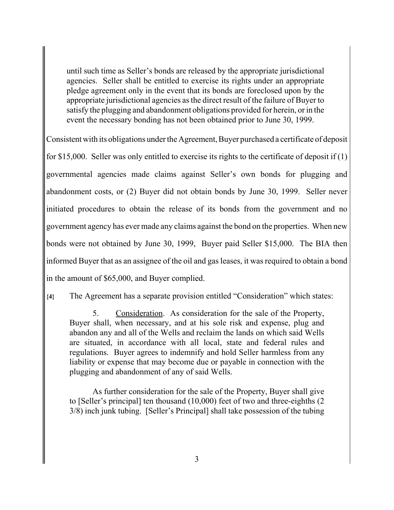until such time as Seller's bonds are released by the appropriate jurisdictional agencies. Seller shall be entitled to exercise its rights under an appropriate pledge agreement only in the event that its bonds are foreclosed upon by the appropriate jurisdictional agencies as the direct result of the failure of Buyer to satisfy the plugging and abandonment obligations provided for herein, or in the event the necessary bonding has not been obtained prior to June 30, 1999.

Consistent with its obligations under the Agreement, Buyer purchased a certificate of deposit

for \$15,000. Seller was only entitled to exercise its rights to the certificate of deposit if (1) governmental agencies made claims against Seller's own bonds for plugging and abandonment costs, or (2) Buyer did not obtain bonds by June 30, 1999. Seller never initiated procedures to obtain the release of its bonds from the government and no government agency has ever made any claims against the bond on the properties. When new bonds were not obtained by June 30, 1999, Buyer paid Seller \$15,000. The BIA then informed Buyer that as an assignee of the oil and gas leases, it was required to obtain a bond in the amount of \$65,000, and Buyer complied.

**{4}** The Agreement has a separate provision entitled "Consideration" which states:

5. Consideration. As consideration for the sale of the Property, Buyer shall, when necessary, and at his sole risk and expense, plug and abandon any and all of the Wells and reclaim the lands on which said Wells are situated, in accordance with all local, state and federal rules and regulations. Buyer agrees to indemnify and hold Seller harmless from any liability or expense that may become due or payable in connection with the plugging and abandonment of any of said Wells.

As further consideration for the sale of the Property, Buyer shall give to [Seller's principal] ten thousand (10,000) feet of two and three-eighths (2 3/8) inch junk tubing. [Seller's Principal] shall take possession of the tubing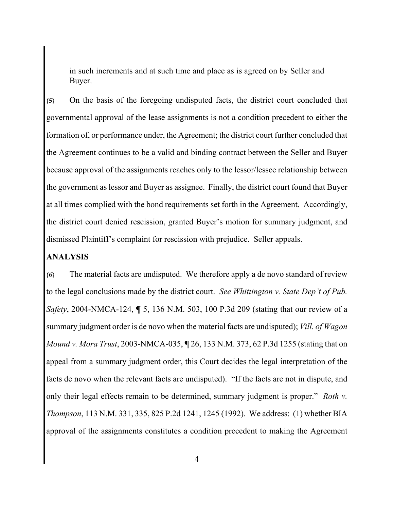in such increments and at such time and place as is agreed on by Seller and Buyer.

**{5}** On the basis of the foregoing undisputed facts, the district court concluded that governmental approval of the lease assignments is not a condition precedent to either the formation of, or performance under, the Agreement; the district court further concluded that the Agreement continues to be a valid and binding contract between the Seller and Buyer because approval of the assignments reaches only to the lessor/lessee relationship between the government as lessor and Buyer as assignee. Finally, the district court found that Buyer at all times complied with the bond requirements set forth in the Agreement. Accordingly, the district court denied rescission, granted Buyer's motion for summary judgment, and dismissed Plaintiff's complaint for rescission with prejudice. Seller appeals.

### **ANALYSIS**

**{6}** The material facts are undisputed. We therefore apply a de novo standard of review to the legal conclusions made by the district court. *See Whittington v. State Dep't of Pub. Safety*, 2004-NMCA-124, **¶** 5, 136 N.M. 503, 100 P.3d 209 (stating that our review of a summary judgment order is de novo when the material facts are undisputed); *Vill. of Wagon Mound v. Mora Trust*, 2003-NMCA-035, **¶** 26, 133 N.M. 373, 62 P.3d 1255 (stating that on appeal from a summary judgment order, this Court decides the legal interpretation of the facts de novo when the relevant facts are undisputed). "If the facts are not in dispute, and only their legal effects remain to be determined, summary judgment is proper." *Roth v. Thompson*, 113 N.M. 331, 335, 825 P.2d 1241, 1245 (1992). We address: (1) whether BIA approval of the assignments constitutes a condition precedent to making the Agreement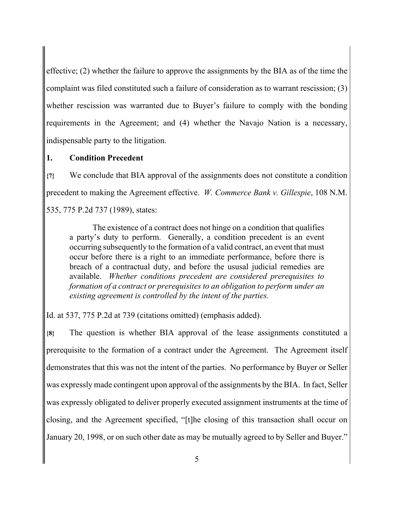effective; (2) whether the failure to approve the assignments by the BIA as of the time the complaint was filed constituted such a failure of consideration as to warrant rescission; (3) whether rescission was warranted due to Buyer's failure to comply with the bonding requirements in the Agreement; and (4) whether the Navajo Nation is a necessary, indispensable party to the litigation.

### **1. Condition Precedent**

**{7}** We conclude that BIA approval of the assignments does not constitute a condition precedent to making the Agreement effective. *W. Commerce Bank v. Gillespie*, 108 N.M. 535, 775 P.2d 737 (1989), states:

The existence of a contract does not hinge on a condition that qualifies a party's duty to perform. Generally, a condition precedent is an event occurring subsequently to the formation of a valid contract, an event that must occur before there is a right to an immediate performance, before there is breach of a contractual duty, and before the ususal judicial remedies are available. *Whether conditions precedent are considered prerequisites to formation of a contract or prerequisites to an obligation to perform under an existing agreement is controlled by the intent of the parties.*

Id. at 537, 775 P.2d at 739 (citations omitted) (emphasis added).

**{8}** The question is whether BIA approval of the lease assignments constituted a prerequisite to the formation of a contract under the Agreement. The Agreement itself demonstrates that this was not the intent of the parties. No performance by Buyer or Seller was expressly made contingent upon approval of the assignments by the BIA. In fact, Seller was expressly obligated to deliver properly executed assignment instruments at the time of closing, and the Agreement specified, "[t]he closing of this transaction shall occur on January 20, 1998, or on such other date as may be mutually agreed to by Seller and Buyer."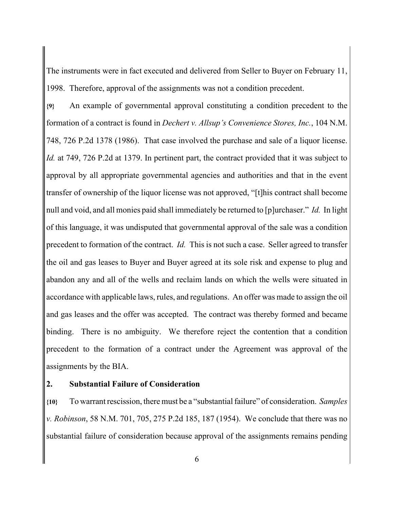The instruments were in fact executed and delivered from Seller to Buyer on February 11, 1998. Therefore, approval of the assignments was not a condition precedent.

**{9}** An example of governmental approval constituting a condition precedent to the formation of a contract is found in *Dechert v. Allsup's Convenience Stores, Inc.*, 104 N.M. 748, 726 P.2d 1378 (1986). That case involved the purchase and sale of a liquor license. *Id.* at 749, 726 P.2d at 1379. In pertinent part, the contract provided that it was subject to approval by all appropriate governmental agencies and authorities and that in the event transfer of ownership of the liquor license was not approved, "[t]his contract shall become null and void, and all monies paid shall immediately be returned to [p]urchaser." *Id.* In light of this language, it was undisputed that governmental approval of the sale was a condition precedent to formation of the contract. *Id.* This is not such a case. Seller agreed to transfer the oil and gas leases to Buyer and Buyer agreed at its sole risk and expense to plug and abandon any and all of the wells and reclaim lands on which the wells were situated in accordance with applicable laws, rules, and regulations. An offer was made to assign the oil and gas leases and the offer was accepted. The contract was thereby formed and became binding. There is no ambiguity. We therefore reject the contention that a condition precedent to the formation of a contract under the Agreement was approval of the assignments by the BIA.

### **2. Substantial Failure of Consideration**

**{10}** To warrant rescission, there must be a "substantial failure" of consideration. *Samples v. Robinson*, 58 N.M. 701, 705, 275 P.2d 185, 187 (1954). We conclude that there was no substantial failure of consideration because approval of the assignments remains pending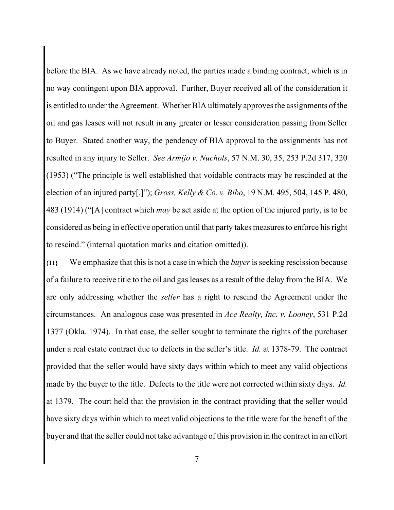before the BIA. As we have already noted, the parties made a binding contract, which is in no way contingent upon BIA approval. Further, Buyer received all of the consideration it is entitled to under the Agreement. Whether BIA ultimately approves the assignments of the oil and gas leases will not result in any greater or lesser consideration passing from Seller to Buyer. Stated another way, the pendency of BIA approval to the assignments has not resulted in any injury to Seller. *See Armijo v. Nuchols*, 57 N.M. 30, 35, 253 P.2d 317, 320 (1953) ("The principle is well established that voidable contracts may be rescinded at the election of an injured party[.]"); *Gross, Kelly & Co. v. Bibo*, 19 N.M. 495, 504, 145 P. 480, 483 (1914) ("[A] contract which *may* be set aside at the option of the injured party, is to be considered as being in effective operation until that party takes measures to enforce his right to rescind." (internal quotation marks and citation omitted)).

**{11}** We emphasize that this is not a case in which the *buyer* is seeking rescission because of a failure to receive title to the oil and gas leases as a result of the delay from the BIA. We are only addressing whether the *seller* has a right to rescind the Agreement under the circumstances. An analogous case was presented in *Ace Realty, Inc. v. Looney*, 531 P.2d 1377 (Okla. 1974). In that case, the seller sought to terminate the rights of the purchaser under a real estate contract due to defects in the seller's title. *Id.* at 1378-79. The contract provided that the seller would have sixty days within which to meet any valid objections made by the buyer to the title. Defects to the title were not corrected within sixty days. *Id.* at 1379. The court held that the provision in the contract providing that the seller would have sixty days within which to meet valid objections to the title were for the benefit of the buyer and that the seller could not take advantage of this provision in the contract in an effort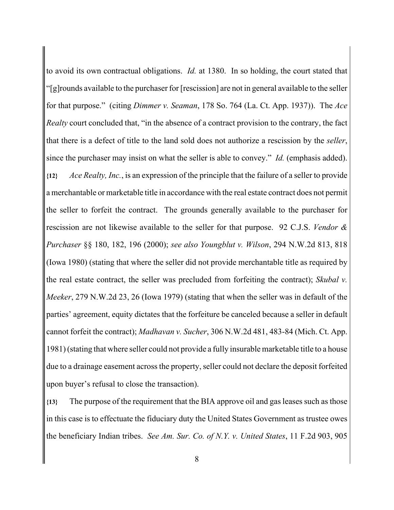to avoid its own contractual obligations. *Id.* at 1380. In so holding, the court stated that "[g]rounds available to the purchaser for [rescission] are not in general available to the seller for that purpose." (citing *Dimmer v. Seaman*, 178 So. 764 (La. Ct. App. 1937)). The *Ace Realty* court concluded that, "in the absence of a contract provision to the contrary, the fact that there is a defect of title to the land sold does not authorize a rescission by the *seller*, since the purchaser may insist on what the seller is able to convey." *Id.* (emphasis added). **{12}** *Ace Realty, Inc.*, is an expression of the principle that the failure of a seller to provide a merchantable or marketable title in accordance with the real estate contract does not permit the seller to forfeit the contract. The grounds generally available to the purchaser for rescission are not likewise available to the seller for that purpose. 92 C.J.S. *Vendor & Purchaser* §§ 180, 182, 196 (2000); *see also Youngblut v. Wilson*, 294 N.W.2d 813, 818 (Iowa 1980) (stating that where the seller did not provide merchantable title as required by the real estate contract, the seller was precluded from forfeiting the contract); *Skubal v. Meeker*, 279 N.W.2d 23, 26 (Iowa 1979) (stating that when the seller was in default of the parties' agreement, equity dictates that the forfeiture be canceled because a seller in default cannot forfeit the contract); *Madhavan v. Sucher*, 306 N.W.2d 481, 483-84 (Mich. Ct. App. 1981) (stating that where seller could not provide a fully insurable marketable title to a house due to a drainage easement across the property, seller could not declare the deposit forfeited upon buyer's refusal to close the transaction).

**{13}** The purpose of the requirement that the BIA approve oil and gas leases such as those in this case is to effectuate the fiduciary duty the United States Government as trustee owes the beneficiary Indian tribes. *See Am. Sur. Co. of N.Y. v. United States*, 11 F.2d 903, 905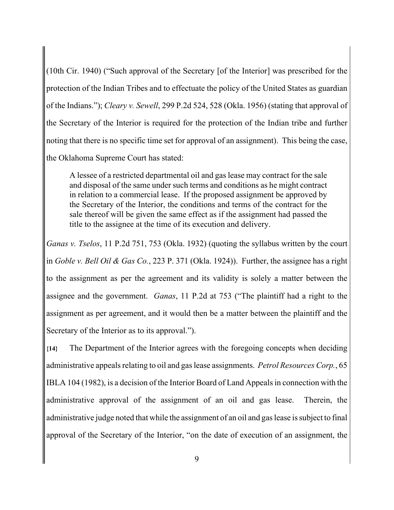(10th Cir. 1940) ("Such approval of the Secretary [of the Interior] was prescribed for the protection of the Indian Tribes and to effectuate the policy of the United States as guardian of the Indians."); *Cleary v. Sewell*, 299 P.2d 524, 528 (Okla. 1956) (stating that approval of the Secretary of the Interior is required for the protection of the Indian tribe and further noting that there is no specific time set for approval of an assignment). This being the case, the Oklahoma Supreme Court has stated:

A lessee of a restricted departmental oil and gas lease may contract for the sale and disposal of the same under such terms and conditions as he might contract in relation to a commercial lease. If the proposed assignment be approved by the Secretary of the Interior, the conditions and terms of the contract for the sale thereof will be given the same effect as if the assignment had passed the title to the assignee at the time of its execution and delivery.

*Ganas v. Tselos*, 11 P.2d 751, 753 (Okla. 1932) (quoting the syllabus written by the court in *Goble v. Bell Oil & Gas Co.*, 223 P. 371 (Okla. 1924)). Further, the assignee has a right to the assignment as per the agreement and its validity is solely a matter between the assignee and the government. *Ganas*, 11 P.2d at 753 ("The plaintiff had a right to the assignment as per agreement, and it would then be a matter between the plaintiff and the Secretary of the Interior as to its approval.").

**{14}** The Department of the Interior agrees with the foregoing concepts when deciding administrative appeals relating to oil and gas lease assignments. *Petrol Resources Corp.*, 65 IBLA 104 (1982), is a decision of the Interior Board of Land Appeals in connection with the administrative approval of the assignment of an oil and gas lease. Therein, the administrative judge noted that while the assignment of an oil and gas lease is subject to final approval of the Secretary of the Interior, "on the date of execution of an assignment, the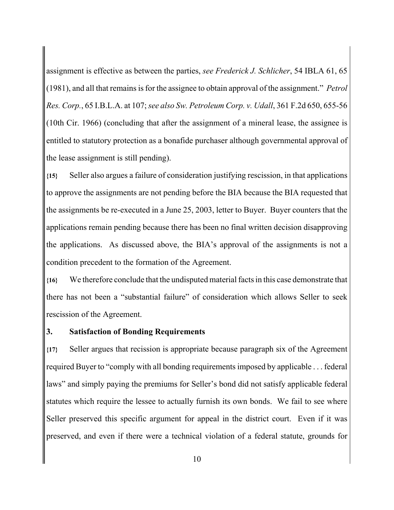assignment is effective as between the parties, *see Frederick J. Schlicher*, 54 IBLA 61, 65 (1981), and all that remains is for the assignee to obtain approval of the assignment." *Petrol Res. Corp.*, 65 I.B.L.A. at 107; *see also Sw. Petroleum Corp. v. Udall*, 361 F.2d 650, 655-56 (10th Cir. 1966) (concluding that after the assignment of a mineral lease, the assignee is entitled to statutory protection as a bonafide purchaser although governmental approval of the lease assignment is still pending).

**{15}** Seller also argues a failure of consideration justifying rescission, in that applications to approve the assignments are not pending before the BIA because the BIA requested that the assignments be re-executed in a June 25, 2003, letter to Buyer. Buyer counters that the applications remain pending because there has been no final written decision disapproving the applications. As discussed above, the BIA's approval of the assignments is not a condition precedent to the formation of the Agreement.

**{16}** We therefore conclude that the undisputed material facts in this case demonstrate that there has not been a "substantial failure" of consideration which allows Seller to seek rescission of the Agreement.

#### **3. Satisfaction of Bonding Requirements**

**{17}** Seller argues that recission is appropriate because paragraph six of the Agreement required Buyer to "comply with all bonding requirements imposed by applicable . . . federal laws" and simply paying the premiums for Seller's bond did not satisfy applicable federal statutes which require the lessee to actually furnish its own bonds. We fail to see where Seller preserved this specific argument for appeal in the district court. Even if it was preserved, and even if there were a technical violation of a federal statute, grounds for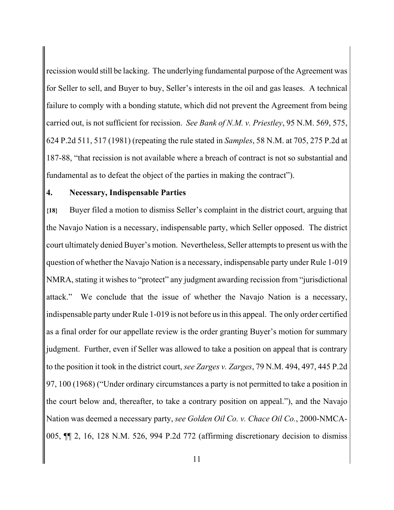recission would still be lacking. The underlying fundamental purpose of the Agreement was for Seller to sell, and Buyer to buy, Seller's interests in the oil and gas leases. A technical failure to comply with a bonding statute, which did not prevent the Agreement from being carried out, is not sufficient for recission. *See Bank of N.M. v. Priestley*, 95 N.M. 569, 575, 624 P.2d 511, 517 (1981) (repeating the rule stated in *Samples*, 58 N.M. at 705, 275 P.2d at 187-88, "that recission is not available where a breach of contract is not so substantial and fundamental as to defeat the object of the parties in making the contract").

#### **4. Necessary, Indispensable Parties**

**{18}** Buyer filed a motion to dismiss Seller's complaint in the district court, arguing that the Navajo Nation is a necessary, indispensable party, which Seller opposed. The district court ultimately denied Buyer's motion. Nevertheless, Seller attempts to present us with the question of whether the Navajo Nation is a necessary, indispensable party under Rule 1-019 NMRA, stating it wishes to "protect" any judgment awarding recission from "jurisdictional attack." We conclude that the issue of whether the Navajo Nation is a necessary, indispensable party under Rule 1-019 is not before us in this appeal. The only order certified as a final order for our appellate review is the order granting Buyer's motion for summary judgment. Further, even if Seller was allowed to take a position on appeal that is contrary to the position it took in the district court, *see Zarges v. Zarges*, 79 N.M. 494, 497, 445 P.2d 97, 100 (1968) ("Under ordinary circumstances a party is not permitted to take a position in the court below and, thereafter, to take a contrary position on appeal."), and the Navajo Nation was deemed a necessary party, *see Golden Oil Co. v. Chace Oil Co.*, 2000-NMCA-005, ¶¶ 2, 16, 128 N.M. 526, 994 P.2d 772 (affirming discretionary decision to dismiss